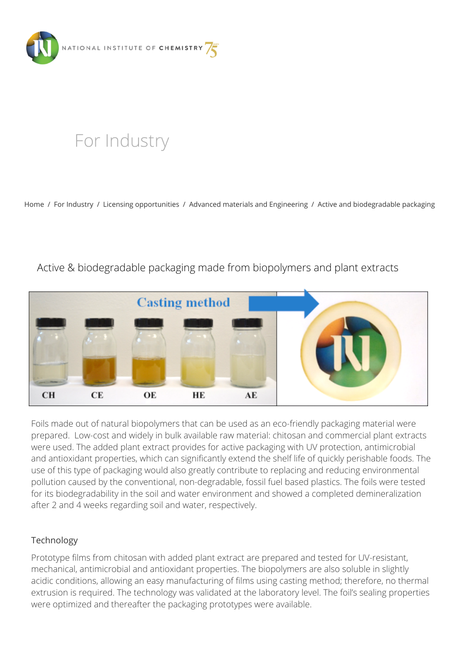

# [For Industry](https://www.ki.si/en/for-industry/)

[Home](https://www.ki.si/en/) / [For Industry](https://www.ki.si/en/for-industry/) / [Licensing opportunities](https://www.ki.si/en/for-industry/licensing-opportunities/) / [Advanced materials and Engineering](https://www.ki.si/en/for-industry/licensing-opportunities/advanced-materials-and-engineering/) / [Active and biodegradable packaging](https://www.ki.si/en/for-industry/licensing-opportunities/advanced-materials-and-engineering/active-and-biodegradable-packaging/)

# Active & biodegradable packaging made from biopolymers and plant extracts



Foils made out of natural biopolymers that can be used as an eco-friendly packaging material were prepared. Low-cost and widely in bulk available raw material: chitosan and commercial plant extracts were used. The added plant extract provides for active packaging with UV protection, antimicrobial and antioxidant properties, which can significantly extend the shelf life of quickly perishable foods. The use of this type of packaging would also greatly contribute to replacing and reducing environmental pollution caused by the conventional, non-degradable, fossil fuel based plastics. The foils were tested for its biodegradability in the soil and water environment and showed a completed demineralization after 2 and 4 weeks regarding soil and water, respectively.

## Technology

Prototype films from chitosan with added plant extract are prepared and tested for UV-resistant, mechanical, antimicrobial and antioxidant properties. The biopolymers are also soluble in slightly acidic conditions, allowing an easy manufacturing of films using casting method; therefore, no thermal extrusion is required. The technology was validated at the laboratory level. The foil's sealing properties were optimized and thereafter the packaging prototypes were available.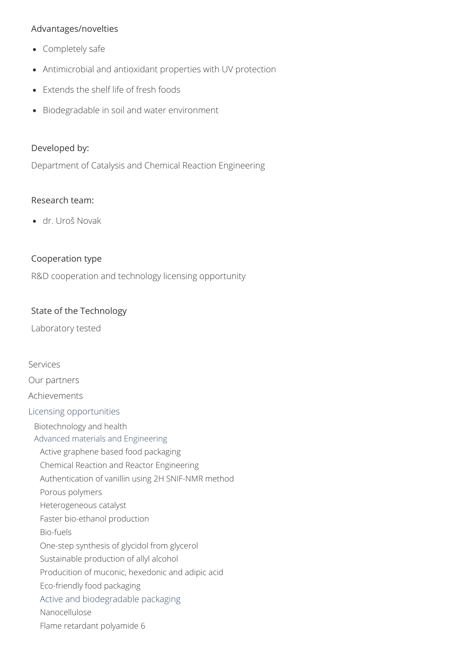#### Advantages/novelties

- Completely safe
- Antimicrobial and antioxidant properties with UV protection
- Extends the shelf life of fresh foods
- Biodegradable in soil and water environment

#### Developed by:

Department of Catalysis and Chemical Reaction Engineering

#### Research team:

dr. Uroš Novak

### Cooperation type

R&D cooperation and technology licensing opportunity

#### State of the Technology

Laboratory tested

[Services](https://www.ki.si/en/for-industry/services/) [Our partners](https://www.ki.si/en/for-industry/our-partners/) [Achievements](https://www.ki.si/en/for-industry/achievements/) [Licensing opportunities](https://www.ki.si/en/for-industry/licensing-opportunities/) [Biotechnology and health](https://www.ki.si/en/for-industry/licensing-opportunities/biotechnology-and-health/) [Advanced materials and Engineering](https://www.ki.si/en/for-industry/licensing-opportunities/advanced-materials-and-engineering/) [Active graphene based food packaging](https://www.ki.si/en/for-industry/licensing-opportunities/advanced-materials-and-engineering/active-graphene-based-food-packaging/) [Chemical Reaction and Reactor Engineering](https://www.ki.si/en/for-industry/licensing-opportunities/advanced-materials-and-engineering/chemical-reaction-and-reactor-engineering/) [Authentication of vanillin using 2H SNIF-NMR method](https://www.ki.si/en/for-industry/licensing-opportunities/advanced-materials-and-engineering/authentication-of-vanillin-using-2h-snif-nmr-method/) [Porous polymers](https://www.ki.si/en/for-industry/licensing-opportunities/advanced-materials-and-engineering/porous-polymers/) [Heterogeneous catalyst](https://www.ki.si/en/for-industry/licensing-opportunities/advanced-materials-and-engineering/heterogeneous-catalyst/) [Faster bio-ethanol production](https://www.ki.si/en/for-industry/licensing-opportunities/advanced-materials-and-engineering/faster-bio-ethanol-production/) [Bio-fuels](https://www.ki.si/en/for-industry/licensing-opportunities/advanced-materials-and-engineering/bio-fuels/) [One-step synthesis of glycidol from glycerol](https://www.ki.si/en/for-industry/licensing-opportunities/advanced-materials-and-engineering/one-step-synthesis-of-glycidol-from-glycerol/) [Sustainable production of allyl alcohol](https://www.ki.si/en/for-industry/licensing-opportunities/advanced-materials-and-engineering/sustainable-production-of-allyl-alcohol/) [Producition of muconic, hexedonic and adipic acid](https://www.ki.si/en/for-industry/licensing-opportunities/advanced-materials-and-engineering/producition-of-muconic-hexedonic-and-adipic-acid/) [Eco-friendly food packaging](https://www.ki.si/en/for-industry/licensing-opportunities/advanced-materials-and-engineering/eco-friendly-food-packaging/) [Active and biodegradable packaging](https://www.ki.si/en/for-industry/licensing-opportunities/advanced-materials-and-engineering/active-and-biodegradable-packaging/) [Nanocellulose](https://www.ki.si/en/for-industry/licensing-opportunities/advanced-materials-and-engineering/nanocellulose/) [Flame retardant polyamide 6](https://www.ki.si/en/for-industry/licensing-opportunities/advanced-materials-and-engineering/flame-retardant-polyamide-6/)